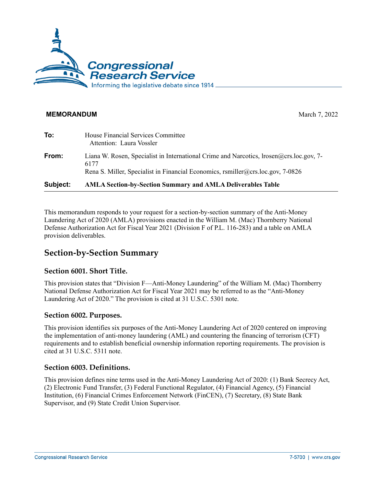

#### **MEMORANDUM** March 7, 2022

| Subject: | <b>AMLA Section-by-Section Summary and AMLA Deliverables Table</b>                                                                                                                   |
|----------|--------------------------------------------------------------------------------------------------------------------------------------------------------------------------------------|
| From:    | Liana W. Rosen, Specialist in International Crime and Narcotics, $Irosen@crs.loc.gov, 7-$<br>6177<br>Rena S. Miller, Specialist in Financial Economics, rsmiller@crs.loc.gov, 7-0826 |
| To:      | House Financial Services Committee<br>Attention: Laura Vossler                                                                                                                       |

This memorandum responds to your request for a section-by-section summary of the Anti-Money Laundering Act of 2020 (AMLA) provisions enacted in the William M. (Mac) Thornberry National Defense Authorization Act for Fiscal Year 2021 (Division F of [P.L. 116-283\)](https://www.congress.gov/bill/116th-congress/house-bill/6395/text) and a table on AMLA provision deliverables.

# **Section-by-Section Summary**

#### **Section 6001. Short Title.**

This provision states that "Division F—Anti-Money Laundering" of the William M. (Mac) Thornberry National Defense Authorization Act for Fiscal Year 2021 may be referred to as the "Anti-Money Laundering Act of 2020." The provision is cited at 31 U.S.C. 5301 note.

#### **Section 6002. Purposes.**

This provision identifies six purposes of the Anti-Money Laundering Act of 2020 centered on improving the implementation of anti-money laundering (AML) and countering the financing of terrorism (CFT) requirements and to establish beneficial ownership information reporting requirements. The provision is cited at 31 U.S.C. 5311 note.

#### **Section 6003. Definitions.**

This provision defines nine terms used in the Anti-Money Laundering Act of 2020: (1) Bank Secrecy Act, (2) Electronic Fund Transfer, (3) Federal Functional Regulator, (4) Financial Agency, (5) Financial Institution, (6) Financial Crimes Enforcement Network (FinCEN), (7) Secretary, (8) State Bank Supervisor, and (9) State Credit Union Supervisor.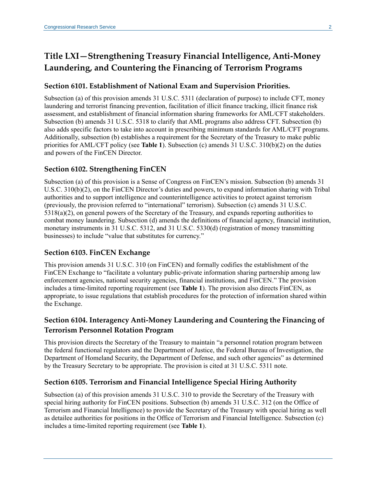# **Title LXI—Strengthening Treasury Financial Intelligence, Anti-Money Laundering, and Countering the Financing of Terrorism Programs**

### **Section 6101. Establishment of National Exam and Supervision Priorities.**

Subsection (a) of this provision amends 31 U.S.C. 5311 (declaration of purpose) to include CFT, money laundering and terrorist financing prevention, facilitation of illicit finance tracking, illicit finance risk assessment, and establishment of financial information sharing frameworks for AML/CFT stakeholders. Subsection (b) amends 31 U.S.C. 5318 to clarify that AML programs also address CFT. Subsection (b) also adds specific factors to take into account in prescribing minimum standards for AML/CFT programs. Additionally, subsection (b) establishes a requirement for the Secretary of the Treasury to make public priorities for AML/CFT policy (see **Table 1**). Subsection (c) amends 31 U.S.C. 310(b)(2) on the duties and powers of the FinCEN Director.

# **Section 6102. Strengthening FinCEN**

Subsection (a) of this provision is a Sense of Congress on FinCEN's mission. Subsection (b) amends 31 U.S.C. 310(b)(2), on the FinCEN Director's duties and powers, to expand information sharing with Tribal authorities and to support intelligence and counterintelligence activities to protect against terrorism (previously, the provision referred to "international" terrorism). Subsection (c) amends 31 U.S.C. 5318(a)(2), on general powers of the Secretary of the Treasury, and expands reporting authorities to combat money laundering. Subsection (d) amends the definitions of financial agency, financial institution, monetary instruments in 31 U.S.C. 5312, and 31 U.S.C. 5330(d) (registration of money transmitting businesses) to include "value that substitutes for currency."

#### **Section 6103. FinCEN Exchange**

This provision amends 31 U.S.C. 310 (on FinCEN) and formally codifies the establishment of the FinCEN Exchange to "facilitate a voluntary public-private information sharing partnership among law enforcement agencies, national security agencies, financial institutions, and FinCEN." The provision includes a time-limited reporting requirement (see **Table 1**). The provision also directs FinCEN, as appropriate, to issue regulations that establish procedures for the protection of information shared within the Exchange.

# **Section 6104. Interagency Anti-Money Laundering and Countering the Financing of Terrorism Personnel Rotation Program**

This provision directs the Secretary of the Treasury to maintain "a personnel rotation program between the federal functional regulators and the Department of Justice, the Federal Bureau of Investigation, the Department of Homeland Security, the Department of Defense, and such other agencies" as determined by the Treasury Secretary to be appropriate. The provision is cited at 31 U.S.C. 5311 note.

# **Section 6105. Terrorism and Financial Intelligence Special Hiring Authority**

Subsection (a) of this provision amends 31 U.S.C. 310 to provide the Secretary of the Treasury with special hiring authority for FinCEN positions. Subsection (b) amends 31 U.S.C. 312 (on the Office of Terrorism and Financial Intelligence) to provide the Secretary of the Treasury with special hiring as well as detailee authorities for positions in the Office of Terrorism and Financial Intelligence. Subsection (c) includes a time-limited reporting requirement (see **Table 1**).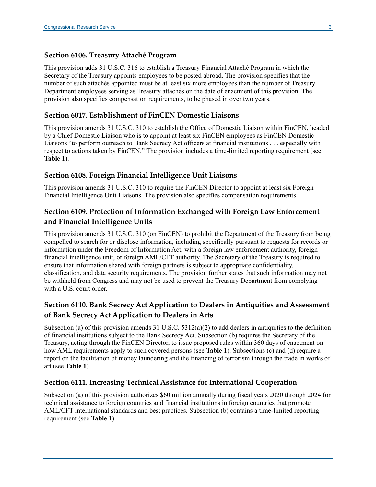#### **Section 6106. Treasury Attaché Program**

This provision adds 31 U.S.C. 316 to establish a Treasury Financial Attaché Program in which the Secretary of the Treasury appoints employees to be posted abroad. The provision specifies that the number of such attachés appointed must be at least six more employees than the number of Treasury Department employees serving as Treasury attachés on the date of enactment of this provision. The provision also specifies compensation requirements, to be phased in over two years.

#### **Section 6017. Establishment of FinCEN Domestic Liaisons**

This provision amends 31 U.S.C. 310 to establish the Office of Domestic Liaison within FinCEN, headed by a Chief Domestic Liaison who is to appoint at least six FinCEN employees as FinCEN Domestic Liaisons "to perform outreach to Bank Secrecy Act officers at financial institutions . . . especially with respect to actions taken by FinCEN." The provision includes a time-limited reporting requirement (see **Table 1**).

#### **Section 6108. Foreign Financial Intelligence Unit Liaisons**

This provision amends 31 U.S.C. 310 to require the FinCEN Director to appoint at least six Foreign Financial Intelligence Unit Liaisons. The provision also specifies compensation requirements.

# **Section 6109. Protection of Information Exchanged with Foreign Law Enforcement and Financial Intelligence Units**

This provision amends 31 U.S.C. 310 (on FinCEN) to prohibit the Department of the Treasury from being compelled to search for or disclose information, including specifically pursuant to requests for records or information under the Freedom of Information Act, with a foreign law enforcement authority, foreign financial intelligence unit, or foreign AML/CFT authority. The Secretary of the Treasury is required to ensure that information shared with foreign partners is subject to appropriate confidentiality, classification, and data security requirements. The provision further states that such information may not be withheld from Congress and may not be used to prevent the Treasury Department from complying with a U.S. court order.

# **Section 6110. Bank Secrecy Act Application to Dealers in Antiquities and Assessment of Bank Secrecy Act Application to Dealers in Arts**

Subsection (a) of this provision amends 31 U.S.C.  $5312(a)(2)$  to add dealers in antiquities to the definition of financial institutions subject to the Bank Secrecy Act. Subsection (b) requires the Secretary of the Treasury, acting through the FinCEN Director, to issue proposed rules within 360 days of enactment on how AML requirements apply to such covered persons (see **Table 1**). Subsections (c) and (d) require a report on the facilitation of money laundering and the financing of terrorism through the trade in works of art (see **Table 1**).

#### **Section 6111. Increasing Technical Assistance for International Cooperation**

Subsection (a) of this provision authorizes \$60 million annually during fiscal years 2020 through 2024 for technical assistance to foreign countries and financial institutions in foreign countries that promote AML/CFT international standards and best practices. Subsection (b) contains a time-limited reporting requirement (see **Table 1**).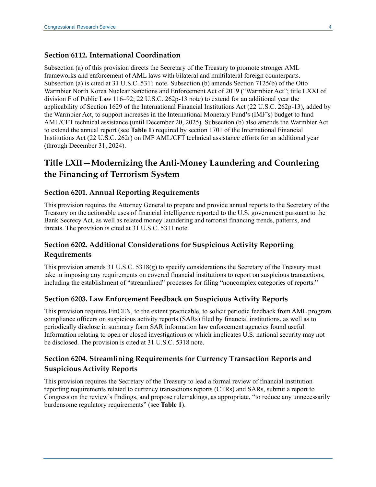### **Section 6112. International Coordination**

Subsection (a) of this provision directs the Secretary of the Treasury to promote stronger AML frameworks and enforcement of AML laws with bilateral and multilateral foreign counterparts. Subsection (a) is cited at 31 U.S.C. 5311 note. Subsection (b) amends Section 7125(b) of the Otto Warmbier North Korea Nuclear Sanctions and Enforcement Act of 2019 ("Warmbier Act"; title LXXI of division F of [Public Law 116–92;](https://www.congress.gov/bill/116th-congress/senate-bill/1790/text) 22 U.S.C. 262p-13 note) to extend for an additional year the applicability of Section 1629 of the International Financial Institutions Act (22 U.S.C. 262p-13), added by the Warmbier Act, to support increases in the International Monetary Fund's (IMF's) budget to fund AML/CFT technical assistance (until December 20, 2025). Subsection (b) also amends the Warmbier Act to extend the annual report (see **Table 1**) required by section 1701 of the International Financial Institutions Act (22 U.S.C. 262r) on IMF AML/CFT technical assistance efforts for an additional year (through December 31, 2024).

# **Title LXII—Modernizing the Anti-Money Laundering and Countering the Financing of Terrorism System**

### **Section 6201. Annual Reporting Requirements**

This provision requires the Attorney General to prepare and provide annual reports to the Secretary of the Treasury on the actionable uses of financial intelligence reported to the U.S. government pursuant to the Bank Secrecy Act, as well as related money laundering and terrorist financing trends, patterns, and threats. The provision is cited at 31 U.S.C. 5311 note.

# **Section 6202. Additional Considerations for Suspicious Activity Reporting Requirements**

This provision amends 31 U.S.C. 5318(g) to specify considerations the Secretary of the Treasury must take in imposing any requirements on covered financial institutions to report on suspicious transactions, including the establishment of "streamlined" processes for filing "noncomplex categories of reports."

#### **Section 6203. Law Enforcement Feedback on Suspicious Activity Reports**

This provision requires FinCEN, to the extent practicable, to solicit periodic feedback from AML program compliance officers on suspicious activity reports (SARs) filed by financial institutions, as well as to periodically disclose in summary form SAR information law enforcement agencies found useful. Information relating to open or closed investigations or which implicates U.S. national security may not be disclosed. The provision is cited at 31 U.S.C. 5318 note.

# **Section 6204. Streamlining Requirements for Currency Transaction Reports and Suspicious Activity Reports**

This provision requires the Secretary of the Treasury to lead a formal review of financial institution reporting requirements related to currency transactions reports (CTRs) and SARs, submit a report to Congress on the review's findings, and propose rulemakings, as appropriate, "to reduce any unnecessarily burdensome regulatory requirements" (see **Table 1**).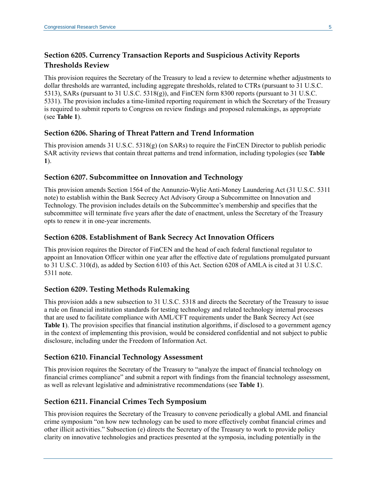# **Section 6205. Currency Transaction Reports and Suspicious Activity Reports Thresholds Review**

This provision requires the Secretary of the Treasury to lead a review to determine whether adjustments to dollar thresholds are warranted, including aggregate thresholds, related to CTRs (pursuant to 31 U.S.C. 5313), SARs (pursuant to 31 U.S.C. 5318(g)), and FinCEN form 8300 reports (pursuant to 31 U.S.C. 5331). The provision includes a time-limited reporting requirement in which the Secretary of the Treasury is required to submit reports to Congress on review findings and proposed rulemakings, as appropriate (see **Table 1**).

### **Section 6206. Sharing of Threat Pattern and Trend Information**

This provision amends 31 U.S.C. 5318(g) (on SARs) to require the FinCEN Director to publish periodic SAR activity reviews that contain threat patterns and trend information, including typologies (see **Table 1**).

#### **Section 6207. Subcommittee on Innovation and Technology**

This provision amends Section 1564 of the Annunzio-Wylie Anti-Money Laundering Act (31 U.S.C. 5311 note) to establish within the Bank Secrecy Act Advisory Group a Subcommittee on Innovation and Technology. The provision includes details on the Subcommittee's membership and specifies that the subcommittee will terminate five years after the date of enactment, unless the Secretary of the Treasury opts to renew it in one-year increments.

### **Section 6208. Establishment of Bank Secrecy Act Innovation Officers**

This provision requires the Director of FinCEN and the head of each federal functional regulator to appoint an Innovation Officer within one year after the effective date of regulations promulgated pursuant to 31 U.S.C. 310(d), as added by Section 6103 of this Act. Section 6208 of AMLA is cited at 31 U.S.C. 5311 note.

#### **Section 6209. Testing Methods Rulemaking**

This provision adds a new subsection to 31 U.S.C. 5318 and directs the Secretary of the Treasury to issue a rule on financial institution standards for testing technology and related technology internal processes that are used to facilitate compliance with AML/CFT requirements under the Bank Secrecy Act (see **Table 1**). The provision specifies that financial institution algorithms, if disclosed to a government agency in the context of implementing this provision, would be considered confidential and not subject to public disclosure, including under the Freedom of Information Act.

#### **Section 6210. Financial Technology Assessment**

This provision requires the Secretary of the Treasury to "analyze the impact of financial technology on financial crimes compliance" and submit a report with findings from the financial technology assessment, as well as relevant legislative and administrative recommendations (see **Table 1**).

# **Section 6211. Financial Crimes Tech Symposium**

This provision requires the Secretary of the Treasury to convene periodically a global AML and financial crime symposium "on how new technology can be used to more effectively combat financial crimes and other illicit activities." Subsection (e) directs the Secretary of the Treasury to work to provide policy clarity on innovative technologies and practices presented at the symposia, including potentially in the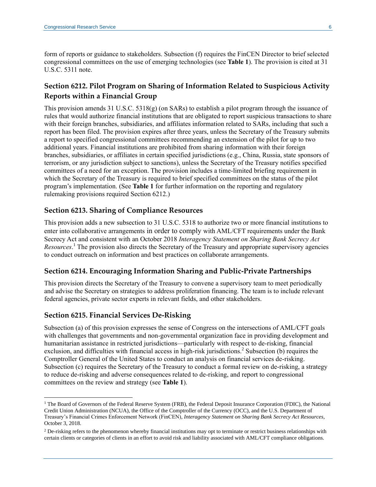form of reports or guidance to stakeholders. Subsection (f) requires the FinCEN Director to brief selected congressional committees on the use of emerging technologies (see **Table 1**). The provision is cited at 31 U.S.C. 5311 note.

# **Section 6212. Pilot Program on Sharing of Information Related to Suspicious Activity Reports within a Financial Group**

This provision amends 31 U.S.C. 5318(g) (on SARs) to establish a pilot program through the issuance of rules that would authorize financial institutions that are obligated to report suspicious transactions to share with their foreign branches, subsidiaries, and affiliates information related to SARs, including that such a report has been filed. The provision expires after three years, unless the Secretary of the Treasury submits a report to specified congressional committees recommending an extension of the pilot for up to two additional years. Financial institutions are prohibited from sharing information with their foreign branches, subsidiaries, or affiliates in certain specified jurisdictions (e.g., China, Russia, state sponsors of terrorism, or any jurisdiction subject to sanctions), unless the Secretary of the Treasury notifies specified committees of a need for an exception. The provision includes a time-limited briefing requirement in which the Secretary of the Treasury is required to brief specified committees on the status of the pilot program's implementation. (See **Table 1** for further information on the reporting and regulatory rulemaking provisions required Section 6212.)

#### **Section 6213. Sharing of Compliance Resources**

This provision adds a new subsection to 31 U.S.C. 5318 to authorize two or more financial institutions to enter into collaborative arrangements in order to comply with AML/CFT requirements under the Bank Secrecy Act and consistent with an October 2018 *Interagency Statement on Sharing Bank Secrecy Act Resources*. <sup>1</sup> The provision also directs the Secretary of the Treasury and appropriate supervisory agencies to conduct outreach on information and best practices on collaborate arrangements.

#### **Section 6214. Encouraging Information Sharing and Public-Private Partnerships**

This provision directs the Secretary of the Treasury to convene a supervisory team to meet periodically and advise the Secretary on strategies to address proliferation financing. The team is to include relevant federal agencies, private sector experts in relevant fields, and other stakeholders.

#### **Section 6215. Financial Services De-Risking**

Subsection (a) of this provision expresses the sense of Congress on the intersections of AML/CFT goals with challenges that governments and non-governmental organization face in providing development and humanitarian assistance in restricted jurisdictions—particularly with respect to de-risking, financial exclusion, and difficulties with financial access in high-risk jurisdictions.<sup>2</sup> Subsection (b) requires the Comptroller General of the United States to conduct an analysis on financial services de-risking. Subsection (c) requires the Secretary of the Treasury to conduct a formal review on de-risking, a strategy to reduce de-risking and adverse consequences related to de-risking, and report to congressional committees on the review and strategy (see **Table 1**).

<sup>&</sup>lt;sup>1</sup> The Board of Governors of the Federal Reserve System (FRB), the Federal Deposit Insurance Corporation (FDIC), the National Credit Union Administration (NCUA), the Office of the Comptroller of the Currency (OCC), and the U.S. Department of Treasury's Financial Crimes Enforcement Network (FinCEN), *[Interagency Statement on Sharing Bank Secrecy Act Resources](https://www.fincen.gov/news/news-releases/interagency-statement-sharing-bank-secrecy-act-resources)*, October 3, 2018.

<sup>&</sup>lt;sup>2</sup> De-risking refers to the phenomenon whereby financial institutions may opt to terminate or restrict business relationships with certain clients or categories of clients in an effort to avoid risk and liability associated with AML/CFT compliance obligations.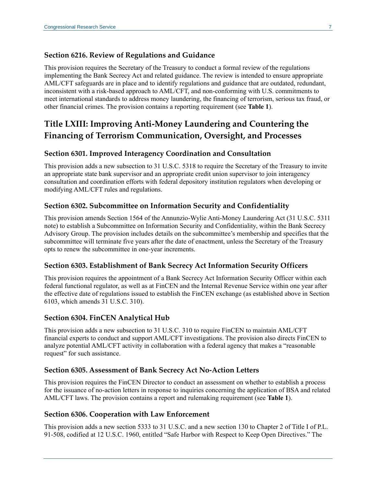#### **Section 6216. Review of Regulations and Guidance**

This provision requires the Secretary of the Treasury to conduct a formal review of the regulations implementing the Bank Secrecy Act and related guidance. The review is intended to ensure appropriate AML/CFT safeguards are in place and to identify regulations and guidance that are outdated, redundant, inconsistent with a risk-based approach to AML/CFT, and non-conforming with U.S. commitments to meet international standards to address money laundering, the financing of terrorism, serious tax fraud, or other financial crimes. The provision contains a reporting requirement (see **Table 1**).

# **Title LXIII: Improving Anti-Money Laundering and Countering the Financing of Terrorism Communication, Oversight, and Processes**

#### **Section 6301. Improved Interagency Coordination and Consultation**

This provision adds a new subsection to 31 U.S.C. 5318 to require the Secretary of the Treasury to invite an appropriate state bank supervisor and an appropriate credit union supervisor to join interagency consultation and coordination efforts with federal depository institution regulators when developing or modifying AML/CFT rules and regulations.

#### **Section 6302. Subcommittee on Information Security and Confidentiality**

This provision amends Section 1564 of the Annunzio-Wylie Anti-Money Laundering Act (31 U.S.C. 5311 note) to establish a Subcommittee on Information Security and Confidentiality, within the Bank Secrecy Advisory Group. The provision includes details on the subcommittee's membership and specifies that the subcommittee will terminate five years after the date of enactment, unless the Secretary of the Treasury opts to renew the subcommittee in one-year increments.

#### **Section 6303. Establishment of Bank Secrecy Act Information Security Officers**

This provision requires the appointment of a Bank Secrecy Act Information Security Officer within each federal functional regulator, as well as at FinCEN and the Internal Revenue Service within one year after the effective date of regulations issued to establish the FinCEN exchange (as established above in Section 6103, which amends 31 U.S.C. 310).

#### **Section 6304. FinCEN Analytical Hub**

This provision adds a new subsection to 31 U.S.C. 310 to require FinCEN to maintain AML/CFT financial experts to conduct and support AML/CFT investigations. The provision also directs FinCEN to analyze potential AML/CFT activity in collaboration with a federal agency that makes a "reasonable request" for such assistance.

#### **Section 6305. Assessment of Bank Secrecy Act No-Action Letters**

This provision requires the FinCEN Director to conduct an assessment on whether to establish a process for the issuance of no-action letters in response to inquiries concerning the application of BSA and related AML/CFT laws. The provision contains a report and rulemaking requirement (see **Table 1**).

#### **Section 6306. Cooperation with Law Enforcement**

This provision adds a new section 5333 to 31 U.S.C. and a new section 130 to Chapter 2 of Title I of P.L. 91-508, codified at 12 U.S.C. 1960, entitled "Safe Harbor with Respect to Keep Open Directives." The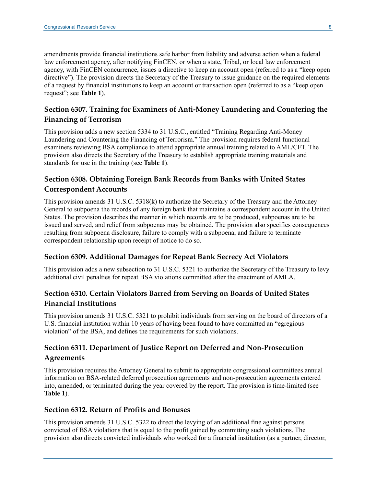amendments provide financial institutions safe harbor from liability and adverse action when a federal law enforcement agency, after notifying FinCEN, or when a state, Tribal, or local law enforcement agency, with FinCEN concurrence, issues a directive to keep an account open (referred to as a "keep open directive"). The provision directs the Secretary of the Treasury to issue guidance on the required elements of a request by financial institutions to keep an account or transaction open (referred to as a "keep open request"; see **Table 1**).

# **Section 6307. Training for Examiners of Anti-Money Laundering and Countering the Financing of Terrorism**

This provision adds a new section 5334 to 31 U.S.C., entitled "Training Regarding Anti-Money Laundering and Countering the Financing of Terrorism." The provision requires federal functional examiners reviewing BSA compliance to attend appropriate annual training related to AML/CFT. The provision also directs the Secretary of the Treasury to establish appropriate training materials and standards for use in the training (see **Table 1**).

# **Section 6308. Obtaining Foreign Bank Records from Banks with United States Correspondent Accounts**

This provision amends 31 U.S.C. 5318(k) to authorize the Secretary of the Treasury and the Attorney General to subpoena the records of any foreign bank that maintains a correspondent account in the United States. The provision describes the manner in which records are to be produced, subpoenas are to be issued and served, and relief from subpoenas may be obtained. The provision also specifies consequences resulting from subpoena disclosure, failure to comply with a subpoena, and failure to terminate correspondent relationship upon receipt of notice to do so.

# **Section 6309. Additional Damages for Repeat Bank Secrecy Act Violators**

This provision adds a new subsection to 31 U.S.C. 5321 to authorize the Secretary of the Treasury to levy additional civil penalties for repeat BSA violations committed after the enactment of AMLA.

# **Section 6310. Certain Violators Barred from Serving on Boards of United States Financial Institutions**

This provision amends 31 U.S.C. 5321 to prohibit individuals from serving on the board of directors of a U.S. financial institution within 10 years of having been found to have committed an "egregious violation" of the BSA, and defines the requirements for such violations.

# **Section 6311. Department of Justice Report on Deferred and Non-Prosecution Agreements**

This provision requires the Attorney General to submit to appropriate congressional committees annual information on BSA-related deferred prosecution agreements and non-prosecution agreements entered into, amended, or terminated during the year covered by the report. The provision is time-limited (see **Table 1**).

#### **Section 6312. Return of Profits and Bonuses**

This provision amends 31 U.S.C. 5322 to direct the levying of an additional fine against persons convicted of BSA violations that is equal to the profit gained by committing such violations. The provision also directs convicted individuals who worked for a financial institution (as a partner, director,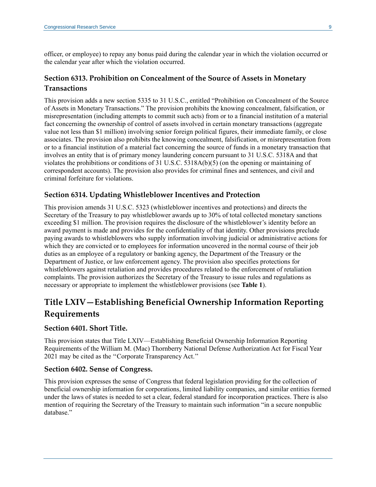officer, or employee) to repay any bonus paid during the calendar year in which the violation occurred or the calendar year after which the violation occurred.

# **Section 6313. Prohibition on Concealment of the Source of Assets in Monetary Transactions**

This provision adds a new section 5335 to 31 U.S.C., entitled "Prohibition on Concealment of the Source of Assets in Monetary Transactions." The provision prohibits the knowing concealment, falsification, or misrepresentation (including attempts to commit such acts) from or to a financial institution of a material fact concerning the ownership of control of assets involved in certain monetary transactions (aggregate value not less than \$1 million) involving senior foreign political figures, their immediate family, or close associates. The provision also prohibits the knowing concealment, falsification, or misrepresentation from or to a financial institution of a material fact concerning the source of funds in a monetary transaction that involves an entity that is of primary money laundering concern pursuant to 31 U.S.C. 5318A and that violates the prohibitions or conditions of 31 U.S.C. 5318A(b)(5) (on the opening or maintaining of correspondent accounts). The provision also provides for criminal fines and sentences, and civil and criminal forfeiture for violations.

### **Section 6314. Updating Whistleblower Incentives and Protection**

This provision amends 31 U.S.C. 5323 (whistleblower incentives and protections) and directs the Secretary of the Treasury to pay whistleblower awards up to 30% of total collected monetary sanctions exceeding \$1 million. The provision requires the disclosure of the whistleblower's identity before an award payment is made and provides for the confidentiality of that identity. Other provisions preclude paying awards to whistleblowers who supply information involving judicial or administrative actions for which they are convicted or to employees for information uncovered in the normal course of their job duties as an employee of a regulatory or banking agency, the Department of the Treasury or the Department of Justice, or law enforcement agency. The provision also specifies protections for whistleblowers against retaliation and provides procedures related to the enforcement of retaliation complaints. The provision authorizes the Secretary of the Treasury to issue rules and regulations as necessary or appropriate to implement the whistleblower provisions (see **Table 1**).

# **Title LXIV—Establishing Beneficial Ownership Information Reporting Requirements**

#### **Section 6401. Short Title.**

This provision states that Title LXIV—Establishing Beneficial Ownership Information Reporting Requirements of the William M. (Mac) Thornberry National Defense Authorization Act for Fiscal Year 2021 may be cited as the ''Corporate Transparency Act.''

#### **Section 6402. Sense of Congress.**

This provision expresses the sense of Congress that federal legislation providing for the collection of beneficial ownership information for corporations, limited liability companies, and similar entities formed under the laws of states is needed to set a clear, federal standard for incorporation practices. There is also mention of requiring the Secretary of the Treasury to maintain such information "in a secure nonpublic database."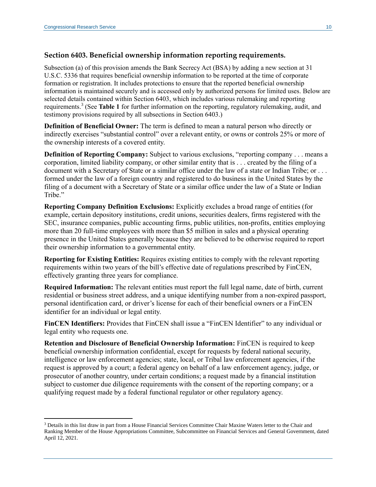### **Section 6403. Beneficial ownership information reporting requirements.**

Subsection (a) of this provision amends the Bank Secrecy Act (BSA) by adding a new section at 31 U.S.C. 5336 that requires beneficial ownership information to be reported at the time of corporate formation or registration. It includes protections to ensure that the reported beneficial ownership information is maintained securely and is accessed only by authorized persons for limited uses. Below are selected details contained within Section 6403, which includes various rulemaking and reporting requirements. 3 (See **Table 1** for further information on the reporting, regulatory rulemaking, audit, and testimony provisions required by all subsections in Section 6403.)

**Definition of Beneficial Owner:** The term is defined to mean a natural person who directly or indirectly exercises "substantial control" over a relevant entity, or owns or controls 25% or more of the ownership interests of a covered entity.

**Definition of Reporting Company:** Subject to various exclusions, "reporting company . . . means a corporation, limited liability company, or other similar entity that is . . . created by the filing of a document with a Secretary of State or a similar office under the law of a state or Indian Tribe; or . . . formed under the law of a foreign country and registered to do business in the United States by the filing of a document with a Secretary of State or a similar office under the law of a State or Indian Tribe."

**Reporting Company Definition Exclusions:** Explicitly excludes a broad range of entities (for example, certain depository institutions, credit unions, securities dealers, firms registered with the SEC, insurance companies, public accounting firms, public utilities, non-profits, entities employing more than 20 full-time employees with more than \$5 million in sales and a physical operating presence in the United States generally because they are believed to be otherwise required to report their ownership information to a governmental entity.

**Reporting for Existing Entities:** Requires existing entities to comply with the relevant reporting requirements within two years of the bill's effective date of regulations prescribed by FinCEN, effectively granting three years for compliance.

**Required Information:** The relevant entities must report the full legal name, date of birth, current residential or business street address, and a unique identifying number from a non-expired passport, personal identification card, or driver's license for each of their beneficial owners or a FinCEN identifier for an individual or legal entity.

**FinCEN Identifiers:** Provides that FinCEN shall issue a "FinCEN Identifier" to any individual or legal entity who requests one.

**Retention and Disclosure of Beneficial Ownership Information:** FinCEN is required to keep beneficial ownership information confidential, except for requests by federal national security, intelligence or law enforcement agencies; state, local, or Tribal law enforcement agencies, if the request is approved by a court; a federal agency on behalf of a law enforcement agency, judge, or prosecutor of another country, under certain conditions; a request made by a financial institution subject to customer due diligence requirements with the consent of the reporting company; or a qualifying request made by a federal functional regulator or other regulatory agency.

<sup>3</sup> Details in this list draw in part from a House Financial Services Committee Chair Maxine Waters letter to the Chair and Ranking Member of the House Appropriations Committee, Subcommittee on Financial Services and General Government, dated April 12, 2021.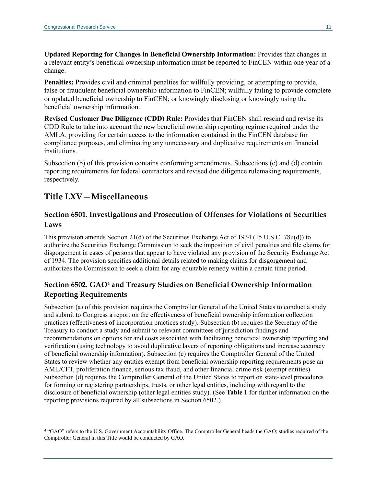**Updated Reporting for Changes in Beneficial Ownership Information:** Provides that changes in a relevant entity's beneficial ownership information must be reported to FinCEN within one year of a change.

**Penalties:** Provides civil and criminal penalties for willfully providing, or attempting to provide, false or fraudulent beneficial ownership information to FinCEN; willfully failing to provide complete or updated beneficial ownership to FinCEN; or knowingly disclosing or knowingly using the beneficial ownership information.

**Revised Customer Due Diligence (CDD) Rule:** Provides that FinCEN shall rescind and revise its CDD Rule to take into account the new beneficial ownership reporting regime required under the AMLA, providing for certain access to the information contained in the FinCEN database for compliance purposes, and eliminating any unnecessary and duplicative requirements on financial institutions.

Subsection (b) of this provision contains conforming amendments. Subsections (c) and (d) contain reporting requirements for federal contractors and revised due diligence rulemaking requirements, respectively.

# **Title LXV—Miscellaneous**

# **Section 6501. Investigations and Prosecution of Offenses for Violations of Securities Laws**

This provision amends Section 21(d) of the Securities Exchange Act of 1934 (15 U.S.C. 78u(d)) to authorize the Securities Exchange Commission to seek the imposition of civil penalties and file claims for disgorgement in cases of persons that appear to have violated any provision of the Security Exchange Act of 1934. The provision specifies additional details related to making claims for disgorgement and authorizes the Commission to seek a claim for any equitable remedy within a certain time period.

# **Section 6502. GAO<sup>4</sup> and Treasury Studies on Beneficial Ownership Information Reporting Requirements**

Subsection (a) of this provision requires the Comptroller General of the United States to conduct a study and submit to Congress a report on the effectiveness of beneficial ownership information collection practices (effectiveness of incorporation practices study). Subsection (b) requires the Secretary of the Treasury to conduct a study and submit to relevant committees of jurisdiction findings and recommendations on options for and costs associated with facilitating beneficial ownership reporting and verification (using technology to avoid duplicative layers of reporting obligations and increase accuracy of beneficial ownership information). Subsection (c) requires the Comptroller General of the United States to review whether any entities exempt from beneficial ownership reporting requirements pose an AML/CFT, proliferation finance, serious tax fraud, and other financial crime risk (exempt entities). Subsection (d) requires the Comptroller General of the United States to report on state-level procedures for forming or registering partnerships, trusts, or other legal entities, including with regard to the disclosure of beneficial ownership (other legal entities study). (See **Table 1** for further information on the reporting provisions required by all subsections in Section 6502.)

<sup>4</sup> "GAO" refers to the U.S. Government Accountability Office. The Comptroller General heads the GAO; studies required of the Comptroller General in this Title would be conducted by GAO.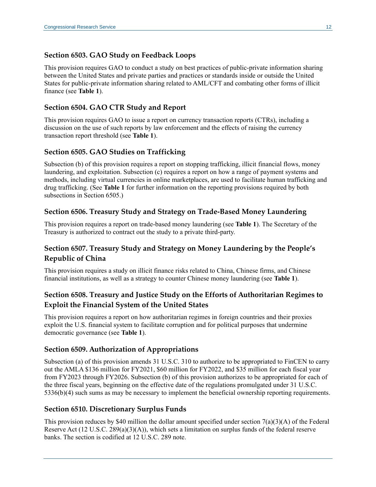### **Section 6503. GAO Study on Feedback Loops**

This provision requires GAO to conduct a study on best practices of public-private information sharing between the United States and private parties and practices or standards inside or outside the United States for public-private information sharing related to AML/CFT and combating other forms of illicit finance (see **Table 1**).

### **Section 6504. GAO CTR Study and Report**

This provision requires GAO to issue a report on currency transaction reports (CTRs), including a discussion on the use of such reports by law enforcement and the effects of raising the currency transaction report threshold (see **Table 1**).

# **Section 6505. GAO Studies on Trafficking**

Subsection (b) of this provision requires a report on stopping trafficking, illicit financial flows, money laundering, and exploitation. Subsection (c) requires a report on how a range of payment systems and methods, including virtual currencies in online marketplaces, are used to facilitate human trafficking and drug trafficking. (See **Table 1** for further information on the reporting provisions required by both subsections in Section 6505.)

# **Section 6506. Treasury Study and Strategy on Trade-Based Money Laundering**

This provision requires a report on trade-based money laundering (see **Table 1**). The Secretary of the Treasury is authorized to contract out the study to a private third-party.

# **Section 6507. Treasury Study and Strategy on Money Laundering by the People's Republic of China**

This provision requires a study on illicit finance risks related to China, Chinese firms, and Chinese financial institutions, as well as a strategy to counter Chinese money laundering (see **Table 1**).

# **Section 6508. Treasury and Justice Study on the Efforts of Authoritarian Regimes to Exploit the Financial System of the United States**

This provision requires a report on how authoritarian regimes in foreign countries and their proxies exploit the U.S. financial system to facilitate corruption and for political purposes that undermine democratic governance (see **Table 1**).

#### **Section 6509. Authorization of Appropriations**

Subsection (a) of this provision amends 31 U.S.C. 310 to authorize to be appropriated to FinCEN to carry out the AMLA \$136 million for FY2021, \$60 million for FY2022, and \$35 million for each fiscal year from FY2023 through FY2026. Subsection (b) of this provision authorizes to be appropriated for each of the three fiscal years, beginning on the effective date of the regulations promulgated under 31 U.S.C. 5336(b)(4) such sums as may be necessary to implement the beneficial ownership reporting requirements.

#### **Section 6510. Discretionary Surplus Funds**

This provision reduces by \$40 million the dollar amount specified under section  $7(a)(3)(A)$  of the Federal Reserve Act (12 U.S.C. 289(a)(3)(A)), which sets a limitation on surplus funds of the federal reserve banks. The section is codified at 12 U.S.C. 289 note.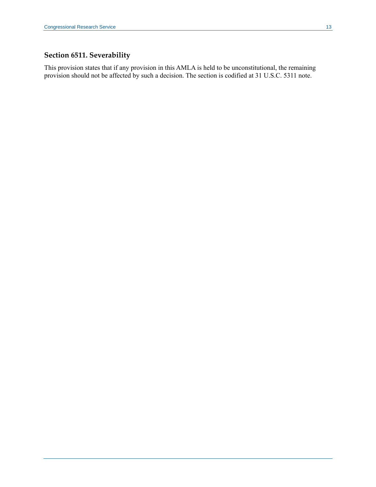# **Section 6511. Severability**

This provision states that if any provision in this AMLA is held to be unconstitutional, the remaining provision should not be affected by such a decision. The section is codified at 31 U.S.C. 5311 note.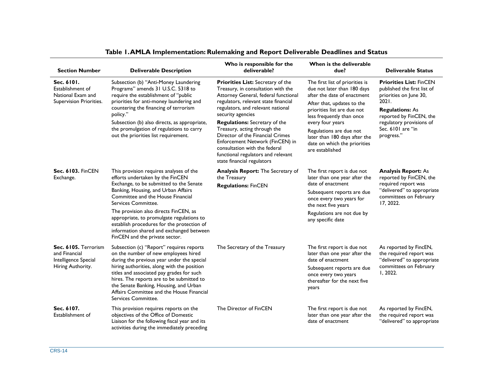| <b>Section Number</b>                                                              | <b>Deliverable Description</b>                                                                                                                                                                                                                                                                                                                                                                                                              | Who is responsible for the<br>deliverable?                                                                                                                                                                                                                                                                                                                                                                                                                            | When is the deliverable<br>due?                                                                                                                                                                                                                                                                                            | <b>Deliverable Status</b>                                                                                                                                                                                            |
|------------------------------------------------------------------------------------|---------------------------------------------------------------------------------------------------------------------------------------------------------------------------------------------------------------------------------------------------------------------------------------------------------------------------------------------------------------------------------------------------------------------------------------------|-----------------------------------------------------------------------------------------------------------------------------------------------------------------------------------------------------------------------------------------------------------------------------------------------------------------------------------------------------------------------------------------------------------------------------------------------------------------------|----------------------------------------------------------------------------------------------------------------------------------------------------------------------------------------------------------------------------------------------------------------------------------------------------------------------------|----------------------------------------------------------------------------------------------------------------------------------------------------------------------------------------------------------------------|
| Sec. 6101.<br>Establishment of<br>National Exam and<br>Supervision Priorities.     | Subsection (b) "Anti-Money Laundering<br>Programs" amends 31 U.S.C. 5318 to<br>require the establishment of "public<br>priorities for anti-money laundering and<br>countering the financing of terrorism<br>policy."<br>Subsection (b) also directs, as appropriate,<br>the promulgation of regulations to carry<br>out the priorities list requirement.                                                                                    | Priorities List: Secretary of the<br>Treasury, in consultation with the<br>Attorney General, federal functional<br>regulators, relevant state financial<br>regulators, and relevant national<br>security agencies<br><b>Regulations:</b> Secretary of the<br>Treasury, acting through the<br>Director of the Financial Crimes<br>Enforcement Network (FinCEN) in<br>consultation with the federal<br>functional regulators and relevant<br>state financial regulators | The first list of priorities is<br>due not later than 180 days<br>after the date of enactment<br>After that, updates to the<br>priorities list are due not<br>less frequently than once<br>every four years<br>Regulations are due not<br>later than 180 days after the<br>date on which the priorities<br>are established | <b>Priorities List: FinCEN</b><br>published the first list of<br>priorities on June 30,<br>2021.<br><b>Regulations: As</b><br>reported by FinCEN, the<br>regulatory provisions of<br>Sec. 6101 are "in<br>progress." |
| Sec. 6103. FinCEN<br>Exchange.                                                     | This provision requires analyses of the<br>efforts undertaken by the FinCEN<br>Exchange, to be submitted to the Senate<br>Banking, Housing, and Urban Affairs<br>Committee and the House Financial<br>Services Committee.<br>The provision also directs FinCEN, as<br>appropriate, to promulgate regulations to<br>establish procedures for the protection of<br>information shared and exchanged between<br>FinCEN and the private sector. | Analysis Report: The Secretary of<br>the Treasury<br><b>Regulations: FinCEN</b>                                                                                                                                                                                                                                                                                                                                                                                       | The first report is due not<br>later than one year after the<br>date of enactment<br>Subsequent reports are due<br>once every two years for<br>the next five years<br>Regulations are not due by<br>any specific date                                                                                                      | <b>Analysis Report: As</b><br>reported by FinCEN, the<br>required report was<br>"delivered" to appropriate<br>committees on February<br>17, 2022.                                                                    |
| Sec. 6105. Terrorism<br>and Financial<br>Intelligence Special<br>Hiring Authority. | Subsection (c) "Report" requires reports<br>on the number of new employees hired<br>during the previous year under the special<br>hiring authorities, along with the position<br>titles and associated pay grades for such<br>hires. The reports are to be submitted to<br>the Senate Banking, Housing, and Urban<br>Affairs Committee and the House Financial<br>Services Committee.                                                       | The Secretary of the Treasury                                                                                                                                                                                                                                                                                                                                                                                                                                         | The first report is due not<br>later than one year after the<br>date of enactment<br>Subsequent reports are due<br>once every two years<br>thereafter for the next five<br>years                                                                                                                                           | As reported by FincEN,<br>the required report was<br>"delivered" to appropriate<br>committees on February<br>I, 2022.                                                                                                |
| Sec. 6107.<br>Establishment of                                                     | This provision requires reports on the<br>objectives of the Office of Domestic<br>Liaison for the following fiscal year and its<br>activities during the immediately preceding                                                                                                                                                                                                                                                              | The Director of FinCEN                                                                                                                                                                                                                                                                                                                                                                                                                                                | The first report is due not<br>later than one year after the<br>date of enactment                                                                                                                                                                                                                                          | As reported by FincEN,<br>the required report was<br>"delivered" to appropriate                                                                                                                                      |

# **Table 1. AMLA Implementation: Rulemaking and Report Deliverable Deadlines and Status**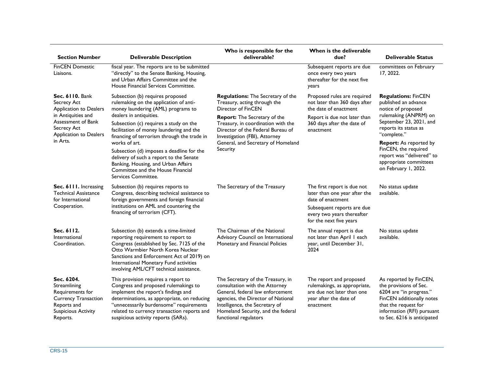| <b>Section Number</b>                                                                                                                                            | <b>Deliverable Description</b>                                                                                                                                                                                                                                                                                                                                                                                                                                                               | Who is responsible for the<br>deliverable?                                                                                                                                                                                                                                                                 | When is the deliverable<br>due?                                                                                                                                          | <b>Deliverable Status</b>                                                                                                                                                                                                                                                                                    |
|------------------------------------------------------------------------------------------------------------------------------------------------------------------|----------------------------------------------------------------------------------------------------------------------------------------------------------------------------------------------------------------------------------------------------------------------------------------------------------------------------------------------------------------------------------------------------------------------------------------------------------------------------------------------|------------------------------------------------------------------------------------------------------------------------------------------------------------------------------------------------------------------------------------------------------------------------------------------------------------|--------------------------------------------------------------------------------------------------------------------------------------------------------------------------|--------------------------------------------------------------------------------------------------------------------------------------------------------------------------------------------------------------------------------------------------------------------------------------------------------------|
| <b>FinCEN Domestic</b><br>Liaisons.                                                                                                                              | fiscal year. The reports are to be submitted<br>"directly" to the Senate Banking, Housing,<br>and Urban Affairs Committee and the<br>House Financial Services Committee.                                                                                                                                                                                                                                                                                                                     |                                                                                                                                                                                                                                                                                                            | Subsequent reports are due<br>once every two years<br>thereafter for the next five<br>years                                                                              | committees on February<br>17, 2022.                                                                                                                                                                                                                                                                          |
| <b>Sec. 6110. Bank</b><br>Secrecy Act<br>Application to Dealers<br>in Antiquities and<br>Assessment of Bank<br>Secrecy Act<br>Application to Dealers<br>in Arts. | Subsection (b) requires proposed<br>rulemaking on the application of anti-<br>money laundering (AML) programs to<br>dealers in antiquities.<br>Subsection (c) requires a study on the<br>facilitation of money laundering and the<br>financing of terrorism through the trade in<br>works of art.<br>Subsection (d) imposes a deadline for the<br>delivery of such a report to the Senate<br>Banking, Housing, and Urban Affairs<br>Committee and the House Financial<br>Services Committee. | <b>Regulations:</b> The Secretary of the<br>Treasury, acting through the<br><b>Director of FinCEN</b><br><b>Report:</b> The Secretary of the<br>Treasury, in coordination with the<br>Director of the Federal Bureau of<br>Investigation (FBI), Attorney<br>General, and Secretary of Homeland<br>Security | Proposed rules are required<br>not later than 360 days after<br>the date of enactment<br>Report is due not later than<br>360 days after the date of<br>enactment         | <b>Regulations: FinCEN</b><br>published an advance<br>notice of proposed<br>rulemaking (ANPRM) on<br>September 23, 2021, and<br>reports its status as<br>"complete."<br><b>Report:</b> As reported by<br>FinCEN, the required<br>report was "delivered" to<br>appropriate committees<br>on February 1, 2022. |
| Sec. 6111. Increasing<br><b>Technical Assistance</b><br>for International<br>Cooperation.                                                                        | Subsection (b) requires reports to<br>Congress, describing technical assistance to<br>foreign governments and foreign financial<br>institutions on AML and countering the<br>financing of terrorism (CFT).                                                                                                                                                                                                                                                                                   | The Secretary of the Treasury                                                                                                                                                                                                                                                                              | The first report is due not<br>later than one year after the<br>date of enactment<br>Subsequent reports are due<br>every two years thereafter<br>for the next five years | No status update<br>available.                                                                                                                                                                                                                                                                               |
| Sec. 6112.<br>International<br>Coordination.                                                                                                                     | Subsection (b) extends a time-limited<br>reporting requirement to report to<br>Congress (established by Sec. 7125 of the<br>Otto Warmbier North Korea Nuclear<br>Sanctions and Enforcement Act of 2019) on<br>International Monetary Fund activities<br>involving AML/CFT technical assistance.                                                                                                                                                                                              | The Chairman of the National<br>Advisory Council on International<br>Monetary and Financial Policies                                                                                                                                                                                                       | The annual report is due<br>not later than April I each<br>year, until December 31,<br>2024                                                                              | No status update<br>available.                                                                                                                                                                                                                                                                               |
| Sec. 6204.<br>Streamlining<br>Requirements for<br><b>Currency Transaction</b><br>Reports and<br><b>Suspicious Activity</b><br>Reports.                           | This provision requires a report to<br>Congress and proposed rulemakings to<br>implement the report's findings and<br>determinations, as appropriate, on reducing<br>"unnecessarily burdensome" requirements<br>related to currency transaction reports and<br>suspicious activity reports (SARs).                                                                                                                                                                                           | The Secretary of the Treasury, in<br>consultation with the Attorney<br>General, federal law enforcement<br>agencies, the Director of National<br>Intelligence, the Secretary of<br>Homeland Security, and the federal<br>functional regulators                                                             | The report and proposed<br>rulemakings, as appropriate,<br>are due not later than one<br>year after the date of<br>enactment                                             | As reported by FinCEN,<br>the provisions of Sec.<br>6204 are "in progress."<br>FinCEN additionally notes<br>that the request for<br>information (RFI) pursuant<br>to Sec. 6216 is anticipated                                                                                                                |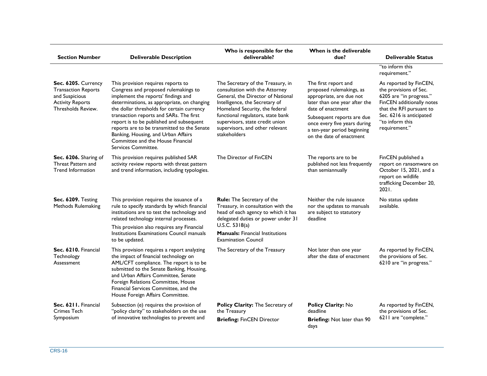| <b>Section Number</b>                                                                                                | <b>Deliverable Description</b>                                                                                                                                                                                                                                                                                                                                                                                                                          | Who is responsible for the<br>deliverable?                                                                                                                                                                                                                                                              | When is the deliverable<br>due?                                                                                                                                                                                                                             | <b>Deliverable Status</b>                                                                                                                                                                            |
|----------------------------------------------------------------------------------------------------------------------|---------------------------------------------------------------------------------------------------------------------------------------------------------------------------------------------------------------------------------------------------------------------------------------------------------------------------------------------------------------------------------------------------------------------------------------------------------|---------------------------------------------------------------------------------------------------------------------------------------------------------------------------------------------------------------------------------------------------------------------------------------------------------|-------------------------------------------------------------------------------------------------------------------------------------------------------------------------------------------------------------------------------------------------------------|------------------------------------------------------------------------------------------------------------------------------------------------------------------------------------------------------|
|                                                                                                                      |                                                                                                                                                                                                                                                                                                                                                                                                                                                         |                                                                                                                                                                                                                                                                                                         |                                                                                                                                                                                                                                                             | "to inform this<br>requirement."                                                                                                                                                                     |
| Sec. 6205. Currency<br><b>Transaction Reports</b><br>and Suspicious<br><b>Activity Reports</b><br>Thresholds Review. | This provision requires reports to<br>Congress and proposed rulemakings to<br>implement the reports' findings and<br>determinations, as appropriate, on changing<br>the dollar thresholds for certain currency<br>transaction reports and SARs. The first<br>report is to be published and subsequent<br>reports are to be transmitted to the Senate<br>Banking, Housing, and Urban Affairs<br>Committee and the House Financial<br>Services Committee. | The Secretary of the Treasury, in<br>consultation with the Attorney<br>General, the Director of National<br>Intelligence, the Secretary of<br>Homeland Security, the federal<br>functional regulators, state bank<br>supervisors, state credit union<br>supervisors, and other relevant<br>stakeholders | The first report and<br>proposed rulemakings, as<br>appropriate, are due not<br>later than one year after the<br>date of enactment<br>Subsequent reports are due<br>once every five years during<br>a ten-year period beginning<br>on the date of enactment | As reported by FinCEN,<br>the provisions of Sec.<br>6205 are "in progress."<br>FinCEN additionally notes<br>that the RFI pursuant to<br>Sec. 6216 is anticipated<br>"to inform this<br>requirement." |
| Sec. 6206. Sharing of<br>Threat Pattern and<br><b>Trend Information</b>                                              | This provision requires published SAR<br>activity review reports with threat pattern<br>and trend information, including typologies.                                                                                                                                                                                                                                                                                                                    | The Director of FinCEN                                                                                                                                                                                                                                                                                  | The reports are to be<br>published not less frequently<br>than semiannually                                                                                                                                                                                 | FinCEN published a<br>report on ransomware on<br>October 15, 2021, and a<br>report on wildlife<br>trafficking December 20,<br>2021.                                                                  |
| Sec. 6209. Testing<br>Methods Rulemaking                                                                             | This provision requires the issuance of a<br>rule to specify standards by which financial<br>institutions are to test the technology and<br>related technology internal processes.<br>This provision also requires any Financial<br>Institutions Examinations Council manuals<br>to be updated.                                                                                                                                                         | <b>Rule:</b> The Secretary of the<br>Treasury, in consultation with the<br>head of each agency to which it has<br>delegated duties or power under 31<br>U.S.C. $5318(a)$<br><b>Manuals:</b> Financial Institutions<br><b>Examination Council</b>                                                        | Neither the rule issuance<br>nor the updates to manuals<br>are subject to statutory<br>deadline                                                                                                                                                             | No status update<br>available.                                                                                                                                                                       |
| Sec. 6210. Financial<br>Technology<br>Assessment                                                                     | This provision requires a report analyzing<br>the impact of financial technology on<br>AML/CFT compliance. The report is to be<br>submitted to the Senate Banking, Housing,<br>and Urban Affairs Committee, Senate<br>Foreign Relations Committee, House<br>Financial Services Committee, and the<br>House Foreign Affairs Committee.                                                                                                                   | The Secretary of the Treasury                                                                                                                                                                                                                                                                           | Not later than one year<br>after the date of enactment                                                                                                                                                                                                      | As reported by FinCEN,<br>the provisions of Sec.<br>6210 are "in progress."                                                                                                                          |
| Sec. 6211. Financial<br><b>Crimes Tech</b><br>Symposium                                                              | Subsection (e) requires the provision of<br>"policy clarity" to stakeholders on the use<br>of innovative technologies to prevent and                                                                                                                                                                                                                                                                                                                    | Policy Clarity: The Secretary of<br>the Treasury<br><b>Briefing: FinCEN Director</b>                                                                                                                                                                                                                    | Policy Clarity: No<br>deadline<br>Briefing: Not later than 90<br>days                                                                                                                                                                                       | As reported by FinCEN,<br>the provisions of Sec.<br>6211 are "complete."                                                                                                                             |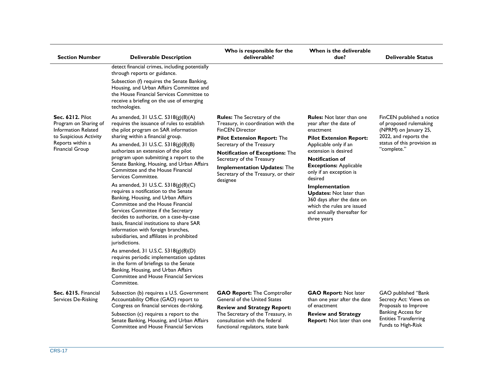| <b>Section Number</b>                                                                                                                           | <b>Deliverable Description</b>                                                                                                                                                                                                                                                                                                                                                                                                                                                                                                                                                                                                                                                                                                                                                                                                                                                                                                                                                                                                    | Who is responsible for the<br>deliverable?                                                                                                                                                                                                                                                                                            | When is the deliverable<br>due?                                                                                                                                                                                                                                                                                                                                                                                           | <b>Deliverable Status</b>                                                                                                                               |
|-------------------------------------------------------------------------------------------------------------------------------------------------|-----------------------------------------------------------------------------------------------------------------------------------------------------------------------------------------------------------------------------------------------------------------------------------------------------------------------------------------------------------------------------------------------------------------------------------------------------------------------------------------------------------------------------------------------------------------------------------------------------------------------------------------------------------------------------------------------------------------------------------------------------------------------------------------------------------------------------------------------------------------------------------------------------------------------------------------------------------------------------------------------------------------------------------|---------------------------------------------------------------------------------------------------------------------------------------------------------------------------------------------------------------------------------------------------------------------------------------------------------------------------------------|---------------------------------------------------------------------------------------------------------------------------------------------------------------------------------------------------------------------------------------------------------------------------------------------------------------------------------------------------------------------------------------------------------------------------|---------------------------------------------------------------------------------------------------------------------------------------------------------|
|                                                                                                                                                 | detect financial crimes, including potentially<br>through reports or guidance.<br>Subsection (f) requires the Senate Banking,<br>Housing, and Urban Affairs Committee and<br>the House Financial Services Committee to<br>receive a briefing on the use of emerging<br>technologies.                                                                                                                                                                                                                                                                                                                                                                                                                                                                                                                                                                                                                                                                                                                                              |                                                                                                                                                                                                                                                                                                                                       |                                                                                                                                                                                                                                                                                                                                                                                                                           |                                                                                                                                                         |
| <b>Sec. 6212. Pilot</b><br>Program on Sharing of<br>Information Related<br>to Suspicious Activity<br>Reports within a<br><b>Financial Group</b> | As amended, 31 U.S.C. 5318(g)(8)(A)<br>requires the issuance of rules to establish<br>the pilot program on SAR information<br>sharing within a financial group.<br>As amended, 31 U.S.C. 5318(g)(8)(B)<br>authorizes an extension of the pilot<br>program upon submitting a report to the<br>Senate Banking, Housing, and Urban Affairs<br>Committee and the House Financial<br>Services Committee.<br>As amended, 31 U.S.C. 5318(g)(8)(C)<br>requires a notification to the Senate<br>Banking, Housing, and Urban Affairs<br>Committee and the House Financial<br>Services Committee if the Secretary<br>decides to authorize, on a case-by-case<br>basis, financial institutions to share SAR<br>information with foreign branches,<br>subsidiaries, and affiliates in prohibited<br>jurisdictions.<br>As amended, 31 U.S.C. 5318(g)(8)(D)<br>requires periodic implementation updates<br>in the form of briefings to the Senate<br>Banking, Housing, and Urban Affairs<br>Committee and House Financial Services<br>Committee. | <b>Rules:</b> The Secretary of the<br>Treasury, in coordination with the<br><b>FinCEN Director</b><br><b>Pilot Extension Report: The</b><br>Secretary of the Treasury<br><b>Notification of Exceptions: The</b><br>Secretary of the Treasury<br><b>Implementation Updates: The</b><br>Secretary of the Treasury, or their<br>designee | <b>Rules:</b> Not later than one<br>year after the date of<br>enactment<br><b>Pilot Extension Report:</b><br>Applicable only if an<br>extension is desired<br><b>Notification of</b><br><b>Exceptions: Applicable</b><br>only if an exception is<br>desired<br>Implementation<br><b>Updates:</b> Not later than<br>360 days after the date on<br>which the rules are issued<br>and annually thereafter for<br>three years | FinCEN published a notice<br>of proposed rulemaking<br>(NPRM) on January 25,<br>2022, and reports the<br>status of this provision as<br>"complete."     |
| Sec. 6215. Financial<br>Services De-Risking                                                                                                     | Subsection (b) requires a U.S. Government<br>Accountability Office (GAO) report to<br>Congress on financial services de-risking.<br>Subsection (c) requires a report to the<br>Senate Banking, Housing, and Urban Affairs<br><b>Committee and House Financial Services</b>                                                                                                                                                                                                                                                                                                                                                                                                                                                                                                                                                                                                                                                                                                                                                        | <b>GAO Report: The Comptroller</b><br><b>General of the United States</b><br><b>Review and Strategy Report:</b><br>The Secretary of the Treasury, in<br>consultation with the federal<br>functional regulators, state bank                                                                                                            | <b>GAO Report: Not later</b><br>than one year after the date<br>of enactment<br><b>Review and Strategy</b><br>Report: Not later than one                                                                                                                                                                                                                                                                                  | GAO published "Bank<br>Secrecy Act: Views on<br>Proposals to Improve<br><b>Banking Access for</b><br><b>Entities Transferring</b><br>Funds to High-Risk |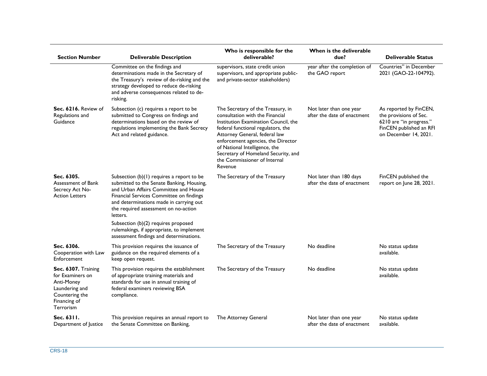| <b>Section Number</b>                                                                                                         | <b>Deliverable Description</b>                                                                                                                                                                                                                                               | Who is responsible for the<br>deliverable?                                                                                                                                                                                                                                                                                                   | When is the deliverable<br>due?                        | <b>Deliverable Status</b>                                                                                                       |
|-------------------------------------------------------------------------------------------------------------------------------|------------------------------------------------------------------------------------------------------------------------------------------------------------------------------------------------------------------------------------------------------------------------------|----------------------------------------------------------------------------------------------------------------------------------------------------------------------------------------------------------------------------------------------------------------------------------------------------------------------------------------------|--------------------------------------------------------|---------------------------------------------------------------------------------------------------------------------------------|
|                                                                                                                               | Committee on the findings and<br>determinations made in the Secretary of<br>the Treasury's review of de-risking and the<br>strategy developed to reduce de-risking<br>and adverse consequences related to de-<br>risking.                                                    | supervisors, state credit union<br>supervisors, and appropriate public-<br>and private-sector stakeholders)                                                                                                                                                                                                                                  | year after the completion of<br>the GAO report         | Countries" in December<br>2021 (GAO-22-104792).                                                                                 |
| Sec. 6216. Review of<br>Regulations and<br>Guidance                                                                           | Subsection (c) requires a report to be<br>submitted to Congress on findings and<br>determinations based on the review of<br>regulations implementing the Bank Secrecy<br>Act and related guidance.                                                                           | The Secretary of the Treasury, in<br>consultation with the Financial<br>Institution Examination Council, the<br>federal functional regulators, the<br>Attorney General, federal law<br>enforcement agencies, the Director<br>of National Intelligence, the<br>Secretary of Homeland Security, and<br>the Commissioner of Internal<br>Revenue | Not later than one year<br>after the date of enactment | As reported by FinCEN,<br>the provisions of Sec.<br>6210 are "in progress."<br>FinCEN published an RFI<br>on December 14, 2021. |
| Sec. 6305.<br>Assessment of Bank<br>Secrecy Act No-<br><b>Action Letters</b>                                                  | Subsection $(b)(1)$ requires a report to be<br>submitted to the Senate Banking, Housing,<br>and Urban Affairs Committee and House<br>Financial Services Committee on findings<br>and determinations made in carrying out<br>the required assessment on no-action<br>letters. | The Secretary of the Treasury                                                                                                                                                                                                                                                                                                                | Not later than 180 days<br>after the date of enactment | FinCEN published the<br>report on June 28, 2021.                                                                                |
|                                                                                                                               | Subsection (b)(2) requires proposed<br>rulemakings, if appropriate, to implement<br>assessment findings and determinations.                                                                                                                                                  |                                                                                                                                                                                                                                                                                                                                              |                                                        |                                                                                                                                 |
| Sec. 6306.<br>Cooperation with Law<br>Enforcement                                                                             | This provision requires the issuance of<br>guidance on the required elements of a<br>keep open request.                                                                                                                                                                      | The Secretary of the Treasury                                                                                                                                                                                                                                                                                                                | No deadline                                            | No status update<br>available.                                                                                                  |
| Sec. 6307. Training<br>for Examiners on<br>Anti-Money<br>Laundering and<br>Countering the<br>Financing of<br><b>Terrorism</b> | This provision requires the establishment<br>of appropriate training materials and<br>standards for use in annual training of<br>federal examiners reviewing BSA<br>compliance.                                                                                              | The Secretary of the Treasury                                                                                                                                                                                                                                                                                                                | No deadline                                            | No status update<br>available.                                                                                                  |
| Sec. 6311.<br>Department of Justice                                                                                           | This provision requires an annual report to<br>the Senate Committee on Banking,                                                                                                                                                                                              | The Attorney General                                                                                                                                                                                                                                                                                                                         | Not later than one year<br>after the date of enactment | No status update<br>available.                                                                                                  |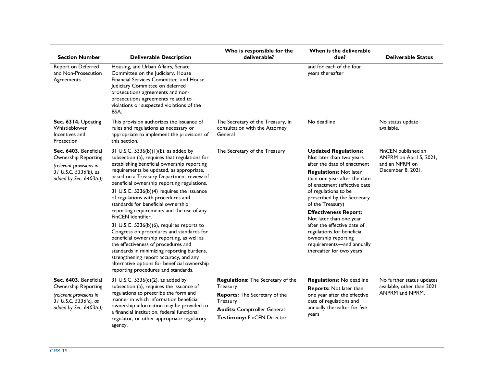| <b>Section Number</b>                                                                                                         | <b>Deliverable Description</b>                                                                                                                                                                                                                                                                                                                                                                                                                                                                                                                                                                                                                                                                                                                                                                 | Who is responsible for the<br>deliverable?                                                                                                                                   | When is the deliverable<br>due?                                                                                                                                                                                                                                                                                                                                                                                                                                            | <b>Deliverable Status</b>                                                             |
|-------------------------------------------------------------------------------------------------------------------------------|------------------------------------------------------------------------------------------------------------------------------------------------------------------------------------------------------------------------------------------------------------------------------------------------------------------------------------------------------------------------------------------------------------------------------------------------------------------------------------------------------------------------------------------------------------------------------------------------------------------------------------------------------------------------------------------------------------------------------------------------------------------------------------------------|------------------------------------------------------------------------------------------------------------------------------------------------------------------------------|----------------------------------------------------------------------------------------------------------------------------------------------------------------------------------------------------------------------------------------------------------------------------------------------------------------------------------------------------------------------------------------------------------------------------------------------------------------------------|---------------------------------------------------------------------------------------|
| Report on Deferred<br>and Non-Prosecution<br>Agreements                                                                       | Housing, and Urban Affairs, Senate<br>Committee on the Judiciary, House<br>Financial Services Committee, and House<br>Judiciary Committee on deferred<br>prosecutions agreements and non-<br>prosecutions agreements related to<br>violations or suspected violations of the<br>BSA.                                                                                                                                                                                                                                                                                                                                                                                                                                                                                                           |                                                                                                                                                                              | and for each of the four<br>years thereafter                                                                                                                                                                                                                                                                                                                                                                                                                               |                                                                                       |
| Sec. 6314. Updating<br>Whistleblower<br>Incentives and<br>Protection                                                          | This provision authorizes the issuance of<br>rules and regulations as necessary or<br>appropriate to implement the provisions of<br>this section.                                                                                                                                                                                                                                                                                                                                                                                                                                                                                                                                                                                                                                              | The Secretary of the Treasury, in<br>consultation with the Attorney<br>General                                                                                               | No deadline                                                                                                                                                                                                                                                                                                                                                                                                                                                                | No status update<br>available.                                                        |
| Sec. 6403. Beneficial<br>Ownership Reporting<br>(relevant provisions in<br>31 U.S.C. 5336(b), as<br>added by Sec. $6403(a)$ ) | 31 U.S.C. 5336(b)(1)(E), as added by<br>subsection (a), requires that regulations for<br>establishing beneficial ownership reporting<br>requirements be updated, as appropriate,<br>based on a Treasury Department review of<br>beneficial ownership reporting regulations.<br>31 U.S.C. 5336(b)(4) requires the issuance<br>of regulations with procedures and<br>standards for beneficial ownership<br>reporting requirements and the use of any<br>FinCEN identifier.<br>31 U.S.C. 5336(b)(6), requires reports to<br>Congress on procedures and standards for<br>beneficial ownership reporting, as well as<br>the effectiveness of procedures and<br>standards in minimizing reporting burdens,<br>strengthening report accuracy, and any<br>alternative options for beneficial ownership | The Secretary of the Treasury                                                                                                                                                | <b>Updated Regulations:</b><br>Not later than two years<br>after the date of enactment<br><b>Regulations: Not later</b><br>than one year after the date<br>of enactment (effective date<br>of regulations to be<br>prescribed by the Secretary<br>of the Treasury)<br><b>Effectiveness Report:</b><br>Not later than one year<br>after the effective date of<br>regulations for beneficial<br>ownership reporting<br>requirements-and annually<br>thereafter for two years | FinCEN published an<br>ANPRM on April 5, 2021,<br>and an NPRM on<br>December 8, 2021. |
| Sec. 6403. Beneficial<br>Ownership Reporting<br>(relevant provisions in<br>31 U.S.C. 5336(c), as<br>added by Sec. 6403(a))    | reporting procedures and standards.<br>31 U.S.C. 5336(c)(2), as added by<br>subsection (a), requires the issuance of<br>regulations to prescribe the form and<br>manner in which information beneficial<br>ownership information may be provided to<br>a financial institution, federal functional<br>regulator, or other appropriate regulatory<br>agency.                                                                                                                                                                                                                                                                                                                                                                                                                                    | Regulations: The Secretary of the<br>Treasury<br><b>Reports:</b> The Secretary of the<br>Treasury<br><b>Audits: Comptroller General</b><br><b>Testimony: FinCEN Director</b> | <b>Regulations:</b> No deadline<br>Reports: Not later than<br>one year after the effective<br>date of regulations and<br>annually thereafter for five<br>years                                                                                                                                                                                                                                                                                                             | No further status updates<br>available, other than 2021<br>ANPRM and NPRM.            |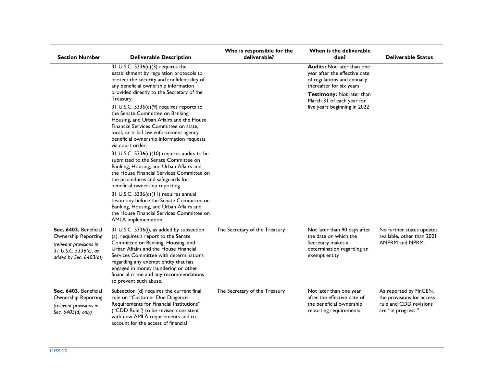| <b>Section Number</b>                                                                                                         | <b>Deliverable Description</b>                                                                                                                                                                                                                                                                                                                                  | Who is responsible for the<br>deliverable? | When is the deliverable<br>due?                                                                                               | <b>Deliverable Status</b>                                                                           |
|-------------------------------------------------------------------------------------------------------------------------------|-----------------------------------------------------------------------------------------------------------------------------------------------------------------------------------------------------------------------------------------------------------------------------------------------------------------------------------------------------------------|--------------------------------------------|-------------------------------------------------------------------------------------------------------------------------------|-----------------------------------------------------------------------------------------------------|
|                                                                                                                               | 31 U.S.C. 5336(c)(3) requires the<br>establishment by regulation protocols to<br>protect the security and confidentiality of<br>any beneficial ownership information                                                                                                                                                                                            |                                            | <b>Audits:</b> Not later than one<br>year after the effective date<br>of regulations and annually<br>thereafter for six years |                                                                                                     |
|                                                                                                                               | provided directly to the Secretary of the<br>Treasury.                                                                                                                                                                                                                                                                                                          |                                            | Testimony: Not later than<br>March 31 of each year for                                                                        |                                                                                                     |
|                                                                                                                               | 31 U.S.C. 5336(c)(9) requires reports to<br>the Senate Committee on Banking,<br>Housing, and Urban Affairs and the House<br>Financial Services Committee on state,<br>local, or tribal law enforcement agency<br>beneficial ownership information requests<br>via court order.                                                                                  |                                            | five years beginning in 2022                                                                                                  |                                                                                                     |
|                                                                                                                               | 31 U.S.C. 5336(c)(10) requires audits to be<br>submitted to the Senate Committee on<br>Banking, Housing, and Urban Affairs and<br>the House Financial Services Committee on<br>the procedures and safeguards for<br>beneficial ownership reporting.                                                                                                             |                                            |                                                                                                                               |                                                                                                     |
|                                                                                                                               | 31 U.S.C. 5336(c)(11) requires annual<br>testimony before the Senate Committee on<br>Banking, Housing, and Urban Affairs and<br>the House Financial Services Committee on<br>AMLA implementation.                                                                                                                                                               |                                            |                                                                                                                               |                                                                                                     |
| Sec. 6403. Beneficial<br>Ownership Reporting<br>(relevant provisions in<br>31 U.S.C. 5336(c), as<br>added by Sec. $6403(a)$ ) | 31 U.S.C. 5336(i), as added by subsection<br>(a), requires a report to the Senate<br>Committee on Banking, Housing, and<br>Urban Affairs and the House Financial<br>Services Committee with determinations<br>regarding any exempt entity that has<br>engaged in money laundering or other<br>financial crime and any recommendations<br>to prevent such abuse. | The Secretary of the Treasury              | Not later than 90 days after<br>the date on which the<br>Secretary makes a<br>determination regarding an<br>exempt entity     | No further status updates<br>available, other than 2021<br>ANPRM and NPRM.                          |
| Sec. 6403. Beneficial<br>Ownership Reporting<br>(relevant provisions in<br>Sec. 6403(d) only)                                 | Subsection (d) requires the current final<br>rule on "Customer Due Diligence<br>Requirements for Financial Institutions"<br>("CDD Rule") to be revised consistent<br>with new AMLA requirements and to<br>account for the access of financial                                                                                                                   | The Secretary of the Treasury              | Not later than one year<br>after the effective date of<br>the beneficial ownership<br>reporting requirements                  | As reported by FinCEN,<br>the provisions for access<br>rule and CDD revisions<br>are "in progress." |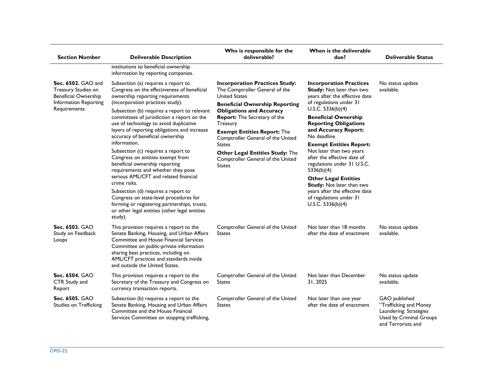| <b>Section Number</b>                                                                                                    | <b>Deliverable Description</b>                                                                                                                                                                                                                                                                                                                                                                                                                                                                                                                                                                                                                                                                                                                                                                                  | Who is responsible for the<br>deliverable?                                                                                                                                                                                                                                                                                                                                                                          | When is the deliverable<br>due?                                                                                                                                                                                                                                                                                                                                                                                                                                                                                                                        | <b>Deliverable Status</b>                                                                                          |
|--------------------------------------------------------------------------------------------------------------------------|-----------------------------------------------------------------------------------------------------------------------------------------------------------------------------------------------------------------------------------------------------------------------------------------------------------------------------------------------------------------------------------------------------------------------------------------------------------------------------------------------------------------------------------------------------------------------------------------------------------------------------------------------------------------------------------------------------------------------------------------------------------------------------------------------------------------|---------------------------------------------------------------------------------------------------------------------------------------------------------------------------------------------------------------------------------------------------------------------------------------------------------------------------------------------------------------------------------------------------------------------|--------------------------------------------------------------------------------------------------------------------------------------------------------------------------------------------------------------------------------------------------------------------------------------------------------------------------------------------------------------------------------------------------------------------------------------------------------------------------------------------------------------------------------------------------------|--------------------------------------------------------------------------------------------------------------------|
|                                                                                                                          | institutions to beneficial ownership<br>information by reporting companies.                                                                                                                                                                                                                                                                                                                                                                                                                                                                                                                                                                                                                                                                                                                                     |                                                                                                                                                                                                                                                                                                                                                                                                                     |                                                                                                                                                                                                                                                                                                                                                                                                                                                                                                                                                        |                                                                                                                    |
| <b>Sec. 6502. GAO and</b><br>Treasury Studies on<br><b>Beneficial Ownership</b><br>Information Reporting<br>Requirements | Subsection (a) requires a report to<br>Congress on the effectiveness of beneficial<br>ownership reporting requirements<br>(incorporation practices study).<br>Subsection (b) requires a report to relevant<br>committees of jurisdiction a report on the<br>use of technology to avoid duplicative<br>layers of reporting obligations and increase<br>accuracy of beneficial ownership<br>information.<br>Subsection (c) requires a report to<br>Congress on entities exempt from<br>beneficial ownership reporting<br>requirements and whether they pose<br>serious AML/CFT and related financial<br>crime risks.<br>Subsection (d) requires a report to<br>Congress on state-level procedures for<br>forming or registering partnerships, trusts,<br>or other legal entities (other legal entities<br>study). | <b>Incorporation Practices Study:</b><br>The Comptroller General of the<br><b>United States</b><br><b>Beneficial Ownership Reporting</b><br><b>Obligations and Accuracy</b><br><b>Report:</b> The Secretary of the<br>Treasury<br><b>Exempt Entities Report: The</b><br>Comptroller General of the United<br><b>States</b><br>Other Legal Entities Study: The<br>Comptroller General of the United<br><b>States</b> | <b>Incorporation Practices</b><br><b>Study:</b> Not later than two<br>years after the effective date<br>of regulations under 31<br>U.S.C. $5336(b)(4)$<br><b>Beneficial Ownership</b><br><b>Reporting Obligations</b><br>and Accuracy Report:<br>No deadline<br><b>Exempt Entities Report:</b><br>Not later than two years<br>after the effective date of<br>regulations under 31 U.S.C.<br>5336(b)(4)<br><b>Other Legal Entities</b><br>Study: Not later than two<br>years after the effective date<br>of regulations under 31<br>U.S.C. $5336(b)(4)$ | No status update<br>available.                                                                                     |
| Sec. 6503. GAO<br>Study on Feedback<br>Loops                                                                             | This provision requires a report to the<br>Senate Banking, Housing, and Urban Affairs<br><b>Committee and House Financial Services</b><br>Committee on public-private information<br>sharing best practices, including on<br>AML/CFT practices and standards inside<br>and outside the United States.                                                                                                                                                                                                                                                                                                                                                                                                                                                                                                           | Comptroller General of the United<br><b>States</b>                                                                                                                                                                                                                                                                                                                                                                  | Not later than 18 months<br>after the date of enactment                                                                                                                                                                                                                                                                                                                                                                                                                                                                                                | No status update<br>available.                                                                                     |
| Sec. 6504. GAO<br>CTR Study and<br>Report                                                                                | This provision requires a report to the<br>Secretary of the Treasury and Congress on<br>currency transaction reports.                                                                                                                                                                                                                                                                                                                                                                                                                                                                                                                                                                                                                                                                                           | Comptroller General of the United<br><b>States</b>                                                                                                                                                                                                                                                                                                                                                                  | Not later than December<br>31, 2025                                                                                                                                                                                                                                                                                                                                                                                                                                                                                                                    | No status update<br>available.                                                                                     |
| Sec. 6505. GAO<br>Studies on Trafficking                                                                                 | Subsection (b) requires a report to the<br>Senate Banking, Housing and Urban Affairs<br>Committee and the House Financial<br>Services Committee on stopping trafficking,                                                                                                                                                                                                                                                                                                                                                                                                                                                                                                                                                                                                                                        | Comptroller General of the United<br><b>States</b>                                                                                                                                                                                                                                                                                                                                                                  | Not later than one year<br>after the date of enactment                                                                                                                                                                                                                                                                                                                                                                                                                                                                                                 | GAO published<br>"Trafficking and Money<br>Laundering: Strategies<br>Used by Criminal Groups<br>and Terrorists and |